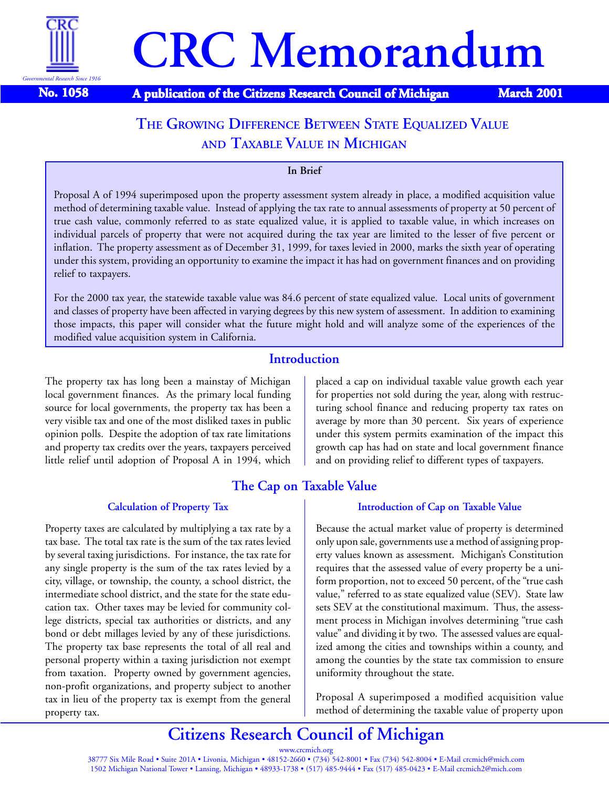

**No. 1058 A publication of the Citizens Research Council of Michigan March 2001** 

# **THE GROWING DIFFERENCE BETWEEN STATE EQUALIZED VALUE AND TAXABLE VALUE IN MICHIGAN**

#### **In Brief**

Proposal A of 1994 superimposed upon the property assessment system already in place, a modified acquisition value method of determining taxable value. Instead of applying the tax rate to annual assessments of property at 50 percent of true cash value, commonly referred to as state equalized value, it is applied to taxable value, in which increases on individual parcels of property that were not acquired during the tax year are limited to the lesser of five percent or inflation. The property assessment as of December 31, 1999, for taxes levied in 2000, marks the sixth year of operating under this system, providing an opportunity to examine the impact it has had on government finances and on providing relief to taxpayers.

For the 2000 tax year, the statewide taxable value was 84.6 percent of state equalized value. Local units of government and classes of property have been affected in varying degrees by this new system of assessment. In addition to examining those impacts, this paper will consider what the future might hold and will analyze some of the experiences of the modified value acquisition system in California.

### **Introduction**

The property tax has long been a mainstay of Michigan local government finances. As the primary local funding source for local governments, the property tax has been a very visible tax and one of the most disliked taxes in public opinion polls. Despite the adoption of tax rate limitations and property tax credits over the years, taxpayers perceived little relief until adoption of Proposal A in 1994, which

## **The Cap on Taxable Value Introduction of Cap on Taxable Value**

Because the actual market value of property is determined only upon sale, governments use a method of assigning property values known as assessment. Michigan's Constitution requires that the assessed value of every property be a uniform proportion, not to exceed 50 percent, of the "true cash value," referred to as state equalized value (SEV). State law sets SEV at the constitutional maximum. Thus, the assessment process in Michigan involves determining "true cash value" and dividing it by two. The assessed values are equalized among the cities and townships within a county, and among the counties by the state tax commission to ensure uniformity throughout the state.

Proposal A superimposed a modified acquisition value method of determining the taxable value of property upon

# **Citizens Research Council of Michigan**

www.crcmich.org 38777 Six Mile Road • Suite 201A • Livonia, Michigan • 48152-2660 • (734) 542-8001 • Fax (734) 542-8004 • E-Mail crcmich@mich.com 1502 Michigan National Tower • Lansing, Michigan • 48933-1738 • (517) 485-9444 • Fax (517) 485-0423 • E-Mail crcmich2@mich.com

placed a cap on individual taxable value growth each year for properties not sold during the year, along with restructuring school finance and reducing property tax rates on average by more than 30 percent. Six years of experience under this system permits examination of the impact this growth cap has had on state and local government finance and on providing relief to different types of taxpayers.

#### **Calculation of Property Tax**

Property taxes are calculated by multiplying a tax rate by a tax base. The total tax rate is the sum of the tax rates levied by several taxing jurisdictions. For instance, the tax rate for any single property is the sum of the tax rates levied by a city, village, or township, the county, a school district, the intermediate school district, and the state for the state education tax. Other taxes may be levied for community college districts, special tax authorities or districts, and any bond or debt millages levied by any of these jurisdictions. The property tax base represents the total of all real and personal property within a taxing jurisdiction not exempt from taxation. Property owned by government agencies, non-profit organizations, and property subject to another tax in lieu of the property tax is exempt from the general property tax.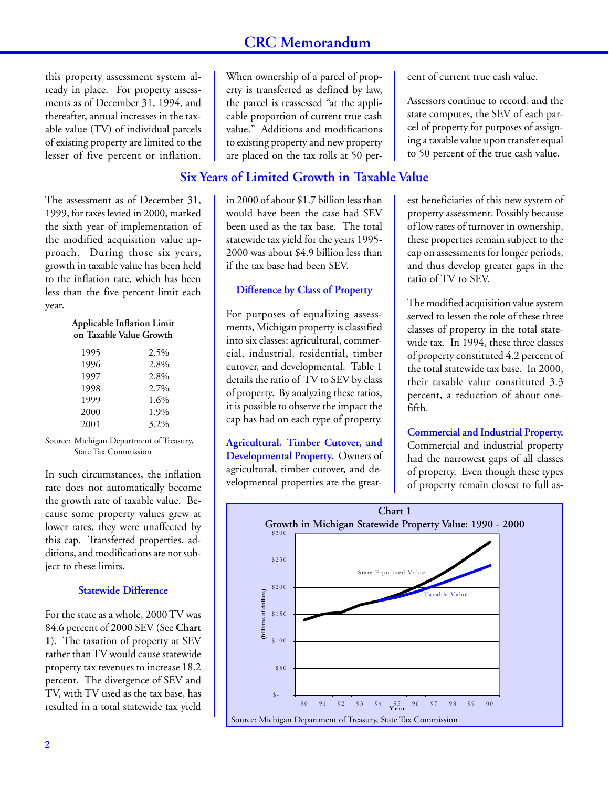this property assessment system already in place. For property assessments as of December 31, 1994, and thereafter, annual increases in the taxable value (TV) of individual parcels of existing property are limited to the lesser of five percent or inflation.

The assessment as of December 31, 1999, for taxes levied in 2000, marked the sixth year of implementation of the modified acquisition value approach. During those six years, growth in taxable value has been held to the inflation rate, which has been less than the five percent limit each year.

**Applicable Inflation Limit on Taxable Value Growth**

| 1995 | 2.5% |
|------|------|
| 1996 | 2.8% |
| 1997 | 2.8% |
| 1998 | 2.7% |
| 1999 | 1.6% |
| 2000 | 1.9% |
| 2001 | 3.2% |
|      |      |

Source: Michigan Department of Treasury, State Tax Commission

In such circumstances, the inflation rate does not automatically become the growth rate of taxable value. Because some property values grew at lower rates, they were unaffected by this cap. Transferred properties, additions, and modifications are not subject to these limits.

#### **Statewide Difference**

For the state as a whole, 2000 TV was 84.6 percent of 2000 SEV (See **Chart 1**). The taxation of property at SEV rather than TV would cause statewide property tax revenues to increase 18.2 percent. The divergence of SEV and TV, with TV used as the tax base, has resulted in a total statewide tax yield

When ownership of a parcel of property is transferred as defined by law, the parcel is reassessed "at the applicable proportion of current true cash value." Additions and modifications to existing property and new property are placed on the tax rolls at 50 per-

## **Six Years of Limited Growth in Taxable Value**

in 2000 of about \$1.7 billion less than would have been the case had SEV been used as the tax base. The total statewide tax yield for the years 1995- 2000 was about \$4.9 billion less than if the tax base had been SEV.

#### **Difference by Class of Property**

For purposes of equalizing assessments, Michigan property is classified into six classes: agricultural, commercial, industrial, residential, timber cutover, and developmental. Table 1 details the ratio of TV to SEV by class of property. By analyzing these ratios, it is possible to observe the impact the cap has had on each type of property.

**Agricultural, Timber Cutover, and Developmental Property.** Owners of agricultural, timber cutover, and developmental properties are the greatcent of current true cash value.

Assessors continue to record, and the state computes, the SEV of each parcel of property for purposes of assigning a taxable value upon transfer equal to 50 percent of the true cash value.

est beneficiaries of this new system of property assessment. Possibly because of low rates of turnover in ownership, these properties remain subject to the cap on assessments for longer periods, and thus develop greater gaps in the ratio of TV to SEV.

The modified acquisition value system served to lessen the role of these three classes of property in the total statewide tax. In 1994, these three classes of property constituted 4.2 percent of the total statewide tax base. In 2000, their taxable value constituted 3.3 percent, a reduction of about onefifth.

**Commercial and Industrial Property.** Commercial and industrial property had the narrowest gaps of all classes of property. Even though these types of property remain closest to full as-

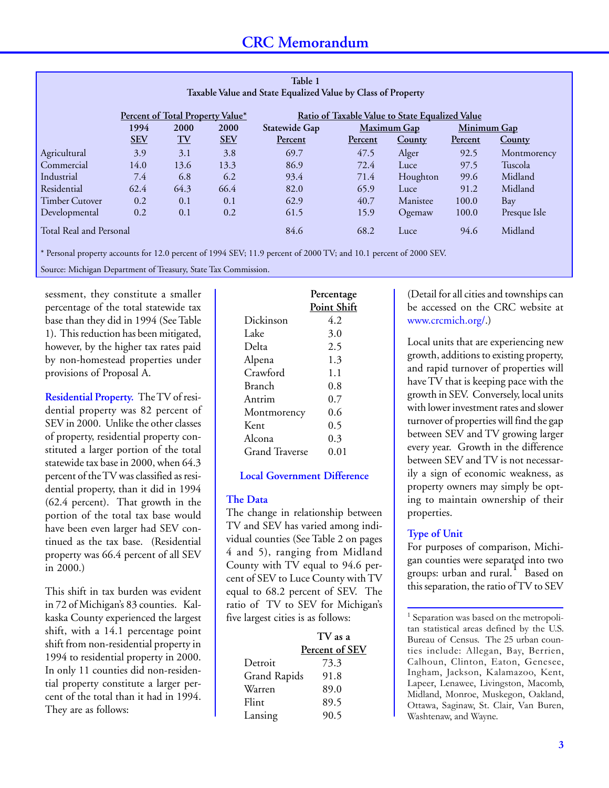| Table 1<br>Taxable Value and State Equalized Value by Class of Property |                                                                                            |                         |            |               |                |               |             |               |
|-------------------------------------------------------------------------|--------------------------------------------------------------------------------------------|-------------------------|------------|---------------|----------------|---------------|-------------|---------------|
|                                                                         | Ratio of Taxable Value to State Equalized Value<br><u>Percent of Total Property Value*</u> |                         |            |               |                |               |             |               |
|                                                                         | 1994                                                                                       | 2000                    | 2000       | Statewide Gap |                | Maximum Gap   | Minimum Gap |               |
|                                                                         | <b>SEV</b>                                                                                 | $\underline{\text{TV}}$ | <b>SEV</b> | Percent       | <b>Percent</b> | <b>County</b> | Percent     | <b>County</b> |
| Agricultural                                                            | 3.9                                                                                        | 3.1                     | 3.8        | 69.7          | 47.5           | Alger         | 92.5        | Montmorency   |
| Commercial                                                              | 14.0                                                                                       | 13.6                    | 13.3       | 86.9          | 72.4           | Luce          | 97.5        | Tuscola       |
| Industrial                                                              | 7.4                                                                                        | 6.8                     | 6.2        | 93.4          | 71.4           | Houghton      | 99.6        | Midland       |
| Residential                                                             | 62.4                                                                                       | 64.3                    | 66.4       | 82.0          | 65.9           | Luce          | 91.2        | Midland       |
| <b>Timber Cutover</b>                                                   | 0.2                                                                                        | 0.1                     | 0.1        | 62.9          | 40.7           | Manistee      | 100.0       | Bay           |
| Developmental                                                           | 0.2                                                                                        | 0.1                     | 0.2        | 61.5          | 15.9           | Ogemaw        | 100.0       | Presque Isle  |
| Total Real and Personal                                                 |                                                                                            |                         |            | 84.6          | 68.2           | Luce          | 94.6        | Midland       |

\* Personal property accounts for 12.0 percent of 1994 SEV; 11.9 percent of 2000 TV; and 10.1 percent of 2000 SEV.

Source: Michigan Department of Treasury, State Tax Commission.

sessment, they constitute a smaller percentage of the total statewide tax base than they did in 1994 (See Table 1). This reduction has been mitigated, however, by the higher tax rates paid by non-homestead properties under provisions of Proposal A.

**Residential Property.** The TV of residential property was 82 percent of SEV in 2000. Unlike the other classes of property, residential property constituted a larger portion of the total statewide tax base in 2000, when 64.3 percent of the TV was classified as residential property, than it did in 1994 (62.4 percent). That growth in the portion of the total tax base would have been even larger had SEV continued as the tax base. (Residential property was 66.4 percent of all SEV in 2000.)

This shift in tax burden was evident in 72 of Michigan's 83 counties. Kalkaska County experienced the largest shift, with a 14.1 percentage point shift from non-residential property in 1994 to residential property in 2000. In only 11 counties did non-residential property constitute a larger percent of the total than it had in 1994. They are as follows:

|                | Percentage  |
|----------------|-------------|
|                | Point Shift |
| Dickinson      | 4.2         |
| Lake           | 3.0         |
| Delta          | 2.5         |
| Alpena         | 1.3         |
| Crawford       | 1.1         |
| Branch         | 0.8         |
| Antrim         | 0.7         |
| Montmorency    | 0.6         |
| Kent           | 0.5         |
| Alcona         | 0.3         |
| Grand Traverse | 0.01        |

#### **Local Government Difference**

#### **The Data**

The change in relationship between TV and SEV has varied among individual counties (See Table 2 on pages 4 and 5), ranging from Midland County with TV equal to 94.6 percent of SEV to Luce County with TV equal to 68.2 percent of SEV. The ratio of TV to SEV for Michigan's five largest cities is as follows:

|              | TV as a        |
|--------------|----------------|
|              | Percent of SEV |
| Detroit      | 73.3           |
| Grand Rapids | 91.8           |
| Warren       | 89.0           |
| Flint        | 89.5           |
| Lansing      | 90.5           |

(Detail for all cities and townships can be accessed on the CRC website at www.crcmich.org/.)

Local units that are experiencing new growth, additions to existing property, and rapid turnover of properties will have TV that is keeping pace with the growth in SEV. Conversely, local units with lower investment rates and slower turnover of properties will find the gap between SEV and TV growing larger every year. Growth in the difference between SEV and TV is not necessarily a sign of economic weakness, as property owners may simply be opting to maintain ownership of their properties.

#### **Type of Unit**

For purposes of comparison, Michigan counties were separated into two groups: urban and rural. Based on this separation, the ratio of TV to SEV

<sup>&</sup>lt;sup>1</sup> Separation was based on the metropolitan statistical areas defined by the U.S. Bureau of Census. The 25 urban counties include: Allegan, Bay, Berrien, Calhoun, Clinton, Eaton, Genesee, Ingham, Jackson, Kalamazoo, Kent, Lapeer, Lenawee, Livingston, Macomb, Midland, Monroe, Muskegon, Oakland, Ottawa, Saginaw, St. Clair, Van Buren, Washtenaw, and Wayne.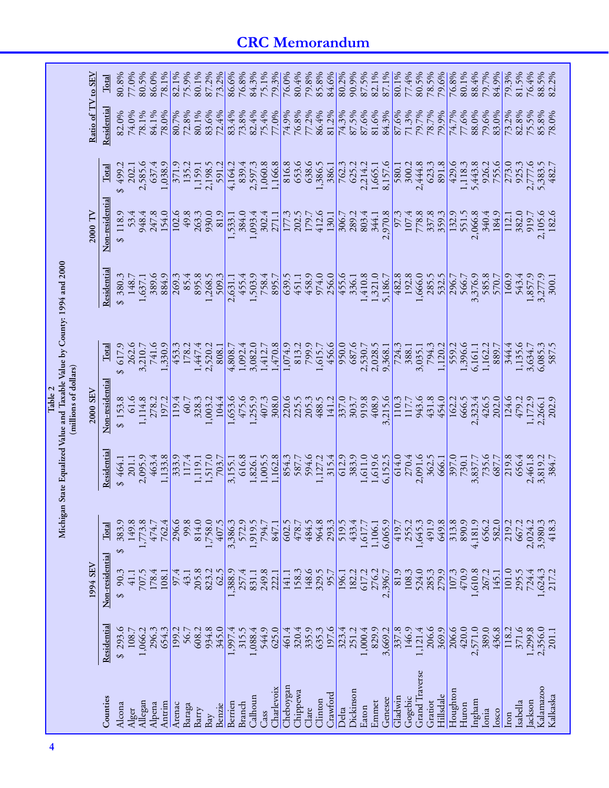|                       |                 | 1994 SEV        |                  |            | 2000 SEV          |                   |            | 2000 TV           |                   | Ratio of TV to SEV |                |
|-----------------------|-----------------|-----------------|------------------|------------|-------------------|-------------------|------------|-------------------|-------------------|--------------------|----------------|
| Counties              | Residentia      | Non-residential | Total            | Residentia | Non-residential   | $\rm Total$       | Residentia | Non-residential   | Total             | Residential        | $_{\rm Total}$ |
| Alcona                | \$293.6         | 90.3<br>↮       | 383.9<br>↮       | \$464.1    | \$153.8           | 617.9<br>$\Theta$ | 380.3<br>↮ | 118.9<br>\$       | 499.2<br>$\Theta$ | 82.0%              | 80.8%          |
| Alger                 | 108.7           | 41.1            | 149.8            | 201.1      | 61.6              | 262.6             | 148.7      | 53.4              | 202.1             | 74.0%              | 77.0%          |
| Allegan               | 1,066.2         | 707.5           | 1,773.8          | 2,095.9    | 1,114.8           | 3,210.7           | 1,637.1    | 948.4             | 2,585.6           | 78.1%              | 80.5%          |
| Alpena                | 296.3           | 178.4           | 474.7            | 463.4      | 278.2             | 741.6             | 389.6      | 247.8             | 637.4             | 84.1%              | 86.0%          |
| Antrim                | 654.3           | 108.1           | 762.4            | 1,133.8    | 197.2             | .330.9            | 884.9      | 154.0             | 1,038.9           | 78.0%              | 78.1%          |
| Arenac                | 199.2           | 97.4            | 296.6            | 333.9      | 119.4             | 453.3             | 269.3      | 102.6             | 371.9             | 80.7%              | 82.1%          |
| Baraga                | 56.7            | 43.1            | 99.8             | 117.4      | 60.7              | 178.2             | 85.4       | 49.8              | 135.2             | 72.8%              | 75.9%          |
| Barry                 | 608.2           | 205.8           | 814.0            | 1,119.1    | 328.3             | 1,447.4           | 895.8      | 263.3             | 1,159.1           | 80.1%              | 80.1%          |
| Bay                   | 934.8           | 823.2           | 1,758.0          | 1,517.0    | 1,003.2           | 2,520.2           | 1,268.5    | 930.0             | 2,198.5           | 83.6%              | 87.2%          |
| Benzie                | 345.0           | 62.5            | 407.5            | 703.7      | 104.4             | 808.1             | 509.3      | 81.9              | 591.2             | 72.4%              | 73.2%          |
| Berrien               | 1,997.4         | 1,388.9         | 3,386.3          | 3,155.1    | 1,653.6           | 4,808.7           | 2,631.1    | 1,533.1           | 4,164.2           | 83.4%              | 86.6%          |
| Branch                | 315.5           | 257.4           | 572.9            | 616.8      | 475.6             | 1,092.4           | 455.4      | 384.0             | 839.4             | 73.8%              | 76.8%          |
| Calhoun               | 1,088.4         | 831.1           | 1,919.5          | 1,826.1    | ,255.9            | 3,082.0           | 1,503.9    | 1,093.4           | 2,597.3           | 82.4%              | 84.3%          |
| Cass                  | 544.9           | 249.8           | 794.7            | 1,005.5    | 407.3             | 1,412.7           | 758.4      | 302.4             | 1,060.8           | 75.4%              | 75.1%          |
| Charlevoix            | 625.0           | 222.1           | 847.1            | 1,162.8    | 308.0             | 1,470.8           | 895.7      | 271.1             | 1,166.8           | 77.0%              | 79.3%          |
| Cheboygan             | 461.4           | 141.1           | 602.5            | 854.3      | 220.6             | 1,074.9           | 639.5      | 177.3             | 816.8             | 74.9%              | 76.0%          |
| Chippewa              | 320.4           | 158.3           | 478.7            | 587.7      | 225.5             | 813.2             | 451.1      | 202.5             | 653.6             | 76.8%              | 80.4%          |
| Clare                 | 335.9           | 148.6           | 484.5            | 594.6      | 205.3             | 799.9             | 458.9      | 179.7             | 638.6             | 77.2%              | 79.8%          |
| Clinton               | 635.3           | 329.5           | 964.8            | 1,127.2    | 488.5             | 1,615.7           | 974.0      | 412.6             | 1,386.5           | 86.4%              | 85.8%          |
| Crawford              | 197.6           | 95.7            | 293.3            | 315.4      | 141.2             | 456.6             | 256.0      | 130.1             | 386.1             | 81.2%              | 84.6%          |
| Delta                 | 323.4           | 196.1           | 519.5            | 612.9      | 337.0             | 950.0             | 455.6      | 306.7             | 762.3             | 74.3%              | 80.2%          |
| Dickinson             | 251.2           | 182.2           | 433.4            | 383.9      | 303.7<br>919.8    | 687.6             | 336.1      | 289.2             | 625.2             | 87.5%              | 90.9%          |
| Eaton                 | 1,000.4         | 617.2           | 5.719            | 1,611.0    |                   | 2,530.7           | 1,410.8    | 803.4             | 2,214.2           | 87.6%              | 87.5%          |
| Emmet                 | 829.9           | 276.2           | 1,106.1          | 1,619.6    | 408.9             | 2,028.5           | 1,321.0    | 344.1             | 1,665.1           | 81.6%              | 82.1%          |
| Genesee               | 3,669.2         | 2,396.7         | 6,065.9          | 6,152.5    | 3,215.6           | 9,368.1           | 5,186.7    | 2,970.8           | 8,157.6           | 84.3%              | 87.1%          |
| Gladwin               | $rac{337.8}{ }$ | 81.9            | 419.7            | 614.0      | $\frac{110.3}{ }$ | 724.3             | 482.8      | $\overline{97.3}$ | 580.1             | 87.6%              | 80.1%          |
| Gogebic               | 146.9           | 108.3           | 255.2            | 270.4      | 117.7<br>943.6    | 388.1             | 192.8      | 107.4             | 300.2             | 71.3%              | 77.4%          |
| <b>Grand Traverse</b> | 1,121.4         | 524.0           | 1,645.3          | 2,091.6    |                   | 3,035.1           | 1,666.0    | 778.8             | 2,444.8           | 79.7%              | 80.5%          |
| Gratiot               | 206.6           | 285.3           | 491.9            | 362.5      | 431.8             | 794.3             | 285.5      | 337.8             | 623.3             | 78.7%<br>79.9%     | 78.5%          |
| Hillsdale             | 369.9           | 279.9           | 649.8            | 666.1      | 454.0             | 1,120.2           | 532.5      |                   | 891.8             |                    | 79.6%          |
| Houghton              | 206.6           | 107.3           | 313.8            | 397.0      | 162.2             | 559.2             | 296.7      | 132.9             | 429.6             | 74.7%              | 76.8%          |
| Huron                 | 420.0           | 470.9           | 890.9            | 730.1      | 666.5             | 1,396.6           | 566.7      | 551.5             | 1,118.3           | 77.6%              | 80.1%          |
| Ingham                | 2,571.0         | 1,610.8         | 4,181.9          | 3,837.7    | 2,323.4           | 6,161.1           | 3,376.9    | 2,066.8           | 5,443.8           | 88.0%              | 88.4%          |
| Ionia                 | 389.0           | 267.2           | 656.2            | 735.6      | 426.5             | 1,162.2           | 585.8      | 340.4             | 926.2             | 79.6%              | 79.7%          |
| losco                 | 436.8           | 145.1           | 582.0            | 687.7      | 202.0             | 889.7             | 570.7      | 184.9             | 755.6             | 83.0%              | 84.9%          |
| Iron                  | 118.2           | 101.0           | 219.2            | 219.8      | 124.6             | 344.4             | 160.9      | 112.1             | 273.0             | 73.2%              | 79.3%          |
| Isabella              | 371.6           | 295.5           | 667.2            | 656.4      | 479.2             | 1,135.6           | 543.4      | 382.0             | 925.3             | 82.8%              | 81.5%<br>76.4% |
| Jackson               | 1,299.8         | 724.4           | 2,024.2          | 2,461.8    | 1,172.9           | 3,634.7           | 1,857.9    | 919.7             | 2,777.6           | 75.5%              |                |
| Kalamazoo             | 2,356.0         | 1,624.3         | 3,980.3<br>418.3 | 3,819.2    | 2,266.1           | 6,085.3           | 3,277.9    | 2,105.6           | 5,383.5           | 85.8%              | 88.5%          |
| Kalkaska              | 201.1           | 217.2           |                  | 384.7      | 202.9             |                   | 300.1      | 182.6             | 482.7             | 78.0%              | 82.2%          |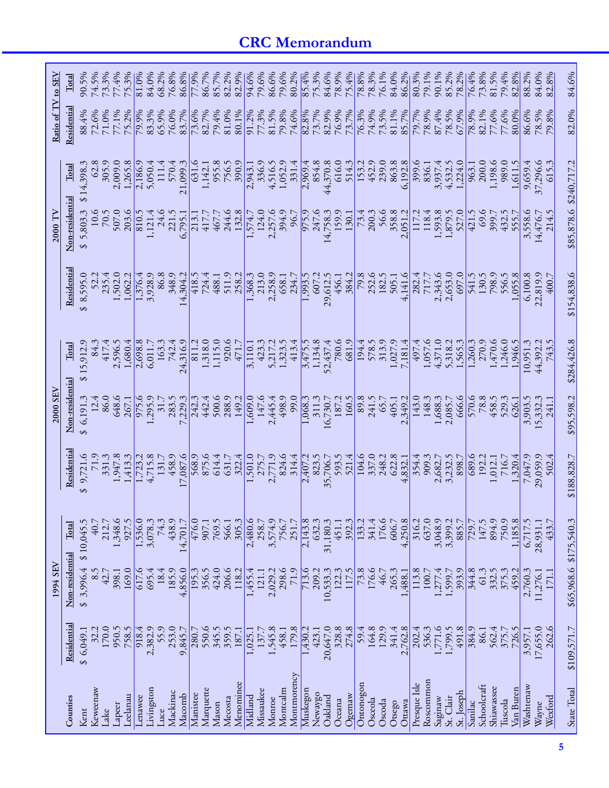| 305.9<br>2,009.0<br>1,265.8<br>\$14,398.<br>507.0<br>5,803.3<br>70.5<br>203.6<br>↮<br>1,502.0<br>235.4<br>1,062.2<br>8,595.0<br>S<br>15,912.9<br>1,680.4<br>2,596.5<br>417.4<br>$\Theta$<br>86.0<br>648.6<br>\$6,191.3<br>12.4<br>267.1<br>1,947.8<br>\$9,721.6<br>71.9<br>331.3<br>1,413.3 | 2,186.9<br>810.5<br>1,376.4<br>2,698.8<br>975.6 |
|---------------------------------------------------------------------------------------------------------------------------------------------------------------------------------------------------------------------------------------------------------------------------------------------|-------------------------------------------------|
|                                                                                                                                                                                                                                                                                             |                                                 |
|                                                                                                                                                                                                                                                                                             |                                                 |
|                                                                                                                                                                                                                                                                                             |                                                 |
|                                                                                                                                                                                                                                                                                             |                                                 |
|                                                                                                                                                                                                                                                                                             | 1,723.2                                         |
| 1,348.6<br>927.5<br>40.7<br>212.7<br>8.5                                                                                                                                                                                                                                                    | 1,536.0<br>3,078.3                              |
| 169.0<br>42.7<br>398.1                                                                                                                                                                                                                                                                      | 617.6<br>695.4                                  |
| 170.0<br>950.5<br>758.5<br>32.2<br>Keweenaw<br>celanau<br>cnawee                                                                                                                                                                                                                            | 918.4<br>2,382.9<br>Livingston                  |

**5**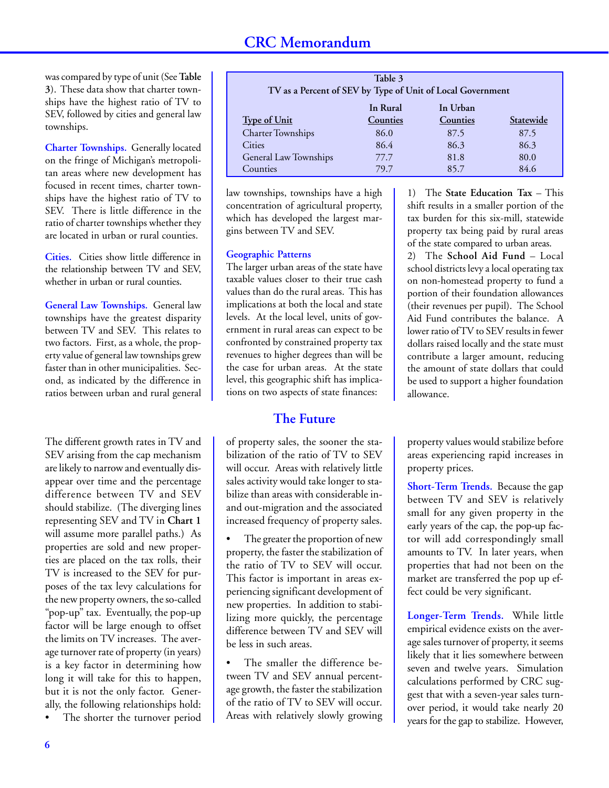was compared by type of unit (See **Table 3**). These data show that charter townships have the highest ratio of TV to SEV, followed by cities and general law townships.

**Charter Townships.** Generally located on the fringe of Michigan's metropolitan areas where new development has focused in recent times, charter townships have the highest ratio of TV to SEV. There is little difference in the ratio of charter townships whether they are located in urban or rural counties.

**Cities.** Cities show little difference in the relationship between TV and SEV, whether in urban or rural counties.

**General Law Townships.** General law townships have the greatest disparity between TV and SEV. This relates to two factors. First, as a whole, the property value of general law townships grew faster than in other municipalities. Second, as indicated by the difference in ratios between urban and rural general

The different growth rates in TV and SEV arising from the cap mechanism are likely to narrow and eventually disappear over time and the percentage difference between TV and SEV should stabilize. (The diverging lines representing SEV and TV in **Chart 1** will assume more parallel paths.) As properties are sold and new properties are placed on the tax rolls, their TV is increased to the SEV for purposes of the tax levy calculations for the new property owners, the so-called "pop-up" tax. Eventually, the pop-up factor will be large enough to offset the limits on TV increases. The average turnover rate of property (in years) is a key factor in determining how long it will take for this to happen, but it is not the only factor. Generally, the following relationships hold: The shorter the turnover period

| Table 3                                                    |          |          |           |  |  |  |
|------------------------------------------------------------|----------|----------|-----------|--|--|--|
| TV as a Percent of SEV by Type of Unit of Local Government |          |          |           |  |  |  |
|                                                            | In Rural | In Urban |           |  |  |  |
| <b>Type of Unit</b>                                        | Counties | Counties | Statewide |  |  |  |
| <b>Charter Townships</b>                                   | 86.0     | 87.5     | 87.5      |  |  |  |
| Cities                                                     | 86.4     | 86.3     | 86.3      |  |  |  |
| General Law Townships                                      | 77.7     | 81.8     | 80.0      |  |  |  |
| Counties                                                   | 79.7     | 85.7     | 84.6      |  |  |  |

law townships, townships have a high concentration of agricultural property, which has developed the largest margins between TV and SEV.

#### **Geographic Patterns**

The larger urban areas of the state have taxable values closer to their true cash values than do the rural areas. This has implications at both the local and state levels. At the local level, units of government in rural areas can expect to be confronted by constrained property tax revenues to higher degrees than will be the case for urban areas. At the state level, this geographic shift has implications on two aspects of state finances:

## **The Future**

of property sales, the sooner the stabilization of the ratio of TV to SEV will occur. Areas with relatively little sales activity would take longer to stabilize than areas with considerable inand out-migration and the associated increased frequency of property sales.

The greater the proportion of new property, the faster the stabilization of the ratio of TV to SEV will occur. This factor is important in areas experiencing significant development of new properties. In addition to stabilizing more quickly, the percentage difference between TV and SEV will be less in such areas.

The smaller the difference between TV and SEV annual percentage growth, the faster the stabilization of the ratio of TV to SEV will occur. Areas with relatively slowly growing

1) The **State Education Tax** – This shift results in a smaller portion of the tax burden for this six-mill, statewide property tax being paid by rural areas of the state compared to urban areas.

2) The **School Aid Fund** – Local school districts levy a local operating tax on non-homestead property to fund a portion of their foundation allowances (their revenues per pupil). The School Aid Fund contributes the balance. A lower ratio of TV to SEV results in fewer dollars raised locally and the state must contribute a larger amount, reducing the amount of state dollars that could be used to support a higher foundation allowance.

property values would stabilize before areas experiencing rapid increases in property prices.

**Short-Term Trends.** Because the gap between TV and SEV is relatively small for any given property in the early years of the cap, the pop-up factor will add correspondingly small amounts to TV. In later years, when properties that had not been on the market are transferred the pop up effect could be very significant.

**Longer-Term Trends.** While little empirical evidence exists on the average sales turnover of property, it seems likely that it lies somewhere between seven and twelve years. Simulation calculations performed by CRC suggest that with a seven-year sales turnover period, it would take nearly 20 years for the gap to stabilize. However,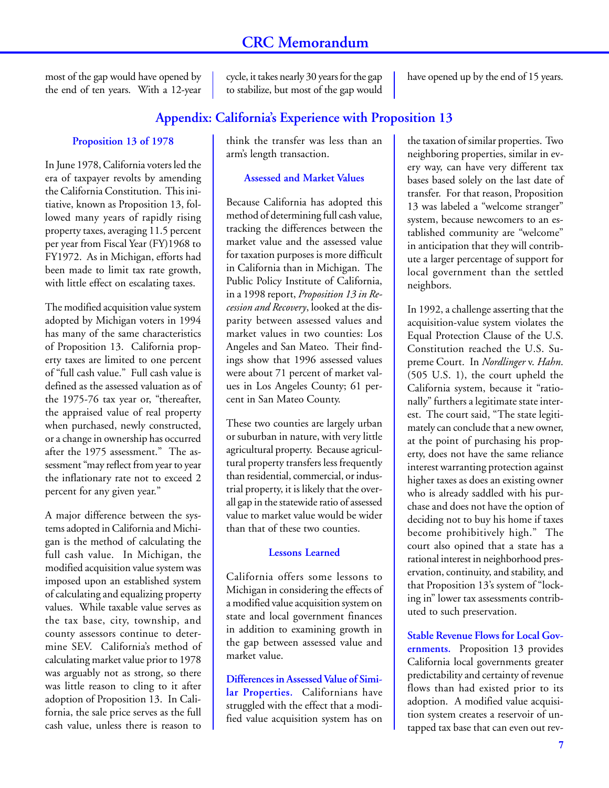most of the gap would have opened by the end of ten years. With a 12-year cycle, it takes nearly 30 years for the gap to stabilize, but most of the gap would have opened up by the end of 15 years.

## **Appendix: California's Experience with Proposition 13**

#### **Proposition 13 of 1978**

In June 1978, California voters led the era of taxpayer revolts by amending the California Constitution. This initiative, known as Proposition 13, followed many years of rapidly rising property taxes, averaging 11.5 percent per year from Fiscal Year (FY)1968 to FY1972. As in Michigan, efforts had been made to limit tax rate growth, with little effect on escalating taxes.

The modified acquisition value system adopted by Michigan voters in 1994 has many of the same characteristics of Proposition 13. California property taxes are limited to one percent of "full cash value." Full cash value is defined as the assessed valuation as of the 1975-76 tax year or, "thereafter, the appraised value of real property when purchased, newly constructed, or a change in ownership has occurred after the 1975 assessment." The assessment "may reflect from year to year the inflationary rate not to exceed 2 percent for any given year."

A major difference between the systems adopted in California and Michigan is the method of calculating the full cash value. In Michigan, the modified acquisition value system was imposed upon an established system of calculating and equalizing property values. While taxable value serves as the tax base, city, township, and county assessors continue to determine SEV. California's method of calculating market value prior to 1978 was arguably not as strong, so there was little reason to cling to it after adoption of Proposition 13. In California, the sale price serves as the full cash value, unless there is reason to think the transfer was less than an arm's length transaction.

#### **Assessed and Market Values**

Because California has adopted this method of determining full cash value, tracking the differences between the market value and the assessed value for taxation purposes is more difficult in California than in Michigan. The Public Policy Institute of California, in a 1998 report, *Proposition 13 in Recession and Recovery*, looked at the disparity between assessed values and market values in two counties: Los Angeles and San Mateo. Their findings show that 1996 assessed values were about 71 percent of market values in Los Angeles County; 61 percent in San Mateo County.

These two counties are largely urban or suburban in nature, with very little agricultural property. Because agricultural property transfers less frequently than residential, commercial, or industrial property, it is likely that the overall gap in the statewide ratio of assessed value to market value would be wider than that of these two counties.

#### **Lessons Learned**

California offers some lessons to Michigan in considering the effects of a modified value acquisition system on state and local government finances in addition to examining growth in the gap between assessed value and market value.

**Differences in Assessed Value of Similar Properties.** Californians have struggled with the effect that a modified value acquisition system has on

the taxation of similar properties. Two neighboring properties, similar in every way, can have very different tax bases based solely on the last date of transfer. For that reason, Proposition 13 was labeled a "welcome stranger" system, because newcomers to an established community are "welcome" in anticipation that they will contribute a larger percentage of support for local government than the settled neighbors.

In 1992, a challenge asserting that the acquisition-value system violates the Equal Protection Clause of the U.S. Constitution reached the U.S. Supreme Court. In *Nordlinger* v. *Hahn*. (505 U.S. 1), the court upheld the California system, because it "rationally" furthers a legitimate state interest. The court said, "The state legitimately can conclude that a new owner, at the point of purchasing his property, does not have the same reliance interest warranting protection against higher taxes as does an existing owner who is already saddled with his purchase and does not have the option of deciding not to buy his home if taxes become prohibitively high." The court also opined that a state has a rational interest in neighborhood preservation, continuity, and stability, and that Proposition 13's system of "locking in" lower tax assessments contributed to such preservation.

**Stable Revenue Flows for Local Governments.** Proposition 13 provides California local governments greater predictability and certainty of revenue flows than had existed prior to its adoption. A modified value acquisition system creates a reservoir of untapped tax base that can even out rev-